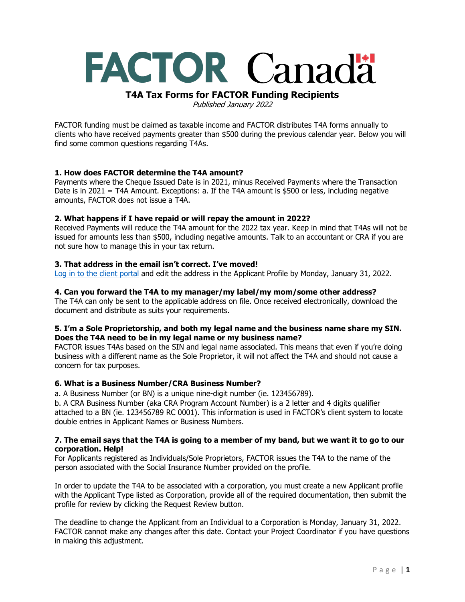# **FACTOR Canadä**

# **T4A Tax Forms for FACTOR Funding Recipients**

Published January 2022

FACTOR funding must be claimed as taxable income and FACTOR distributes T4A forms annually to clients who have received payments greater than \$500 during the previous calendar year. Below you will find some common questions regarding T4As.

## **1. How does FACTOR determine the T4A amount?**

Payments where the Cheque Issued Date is in 2021, minus Received Payments where the Transaction Date is in 2021 = T4A Amount. Exceptions: a. If the T4A amount is \$500 or less, including negative amounts, FACTOR does not issue a T4A.

## **2. What happens if I have repaid or will repay the amount in 2022?**

Received Payments will reduce the T4A amount for the 2022 tax year. Keep in mind that T4As will not be issued for amounts less than \$500, including negative amounts. Talk to an accountant or CRA if you are not sure how to manage this in your tax return.

#### **3. That address in the email isn't correct. I've moved!**

[Log in to the client portal](https://portal.factor.ca/Default.aspx) and edit the address in the Applicant Profile by Monday, January 31, 2022.

#### **4. Can you forward the T4A to my manager/my label/my mom/some other address?**

The T4A can only be sent to the applicable address on file. Once received electronically, download the document and distribute as suits your requirements.

## **5. I'm a Sole Proprietorship, and both my legal name and the business name share my SIN. Does the T4A need to be in my legal name or my business name?**

FACTOR issues T4As based on the SIN and legal name associated. This means that even if you're doing business with a different name as the Sole Proprietor, it will not affect the T4A and should not cause a concern for tax purposes.

## **6. What is a Business Number/CRA Business Number?**

a. A Business Number (or BN) is a unique nine-digit number (ie. 123456789).

b. A CRA Business Number (aka CRA Program Account Number) is a 2 letter and 4 digits qualifier attached to a BN (ie. 123456789 RC 0001). This information is used in FACTOR's client system to locate double entries in Applicant Names or Business Numbers.

#### **7. The email says that the T4A is going to a member of my band, but we want it to go to our corporation. Help!**

For Applicants registered as Individuals/Sole Proprietors, FACTOR issues the T4A to the name of the person associated with the Social Insurance Number provided on the profile.

In order to update the T4A to be associated with a corporation, you must create a new Applicant profile with the Applicant Type listed as Corporation, provide all of the required documentation, then submit the profile for review by clicking the Request Review button.

The deadline to change the Applicant from an Individual to a Corporation is Monday, January 31, 2022. FACTOR cannot make any changes after this date. Contact your Project Coordinator if you have questions in making this adjustment.